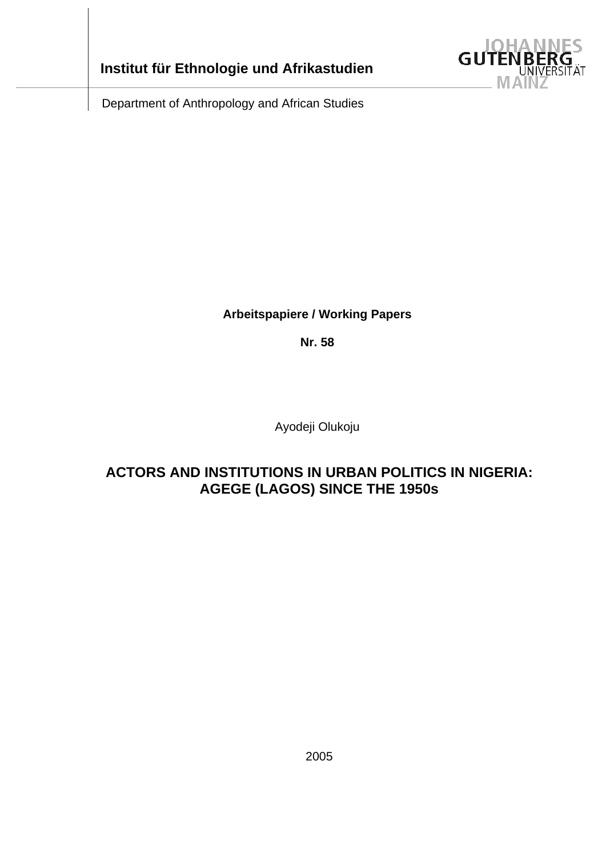



Department of Anthropology and African Studies

# **Arbeitspapiere / Working Papers**

**Nr. 58** 

Ayodeji Olukoju

# **ACTORS AND INSTITUTIONS IN URBAN POLITICS IN NIGERIA: AGEGE (LAGOS) SINCE THE 1950s**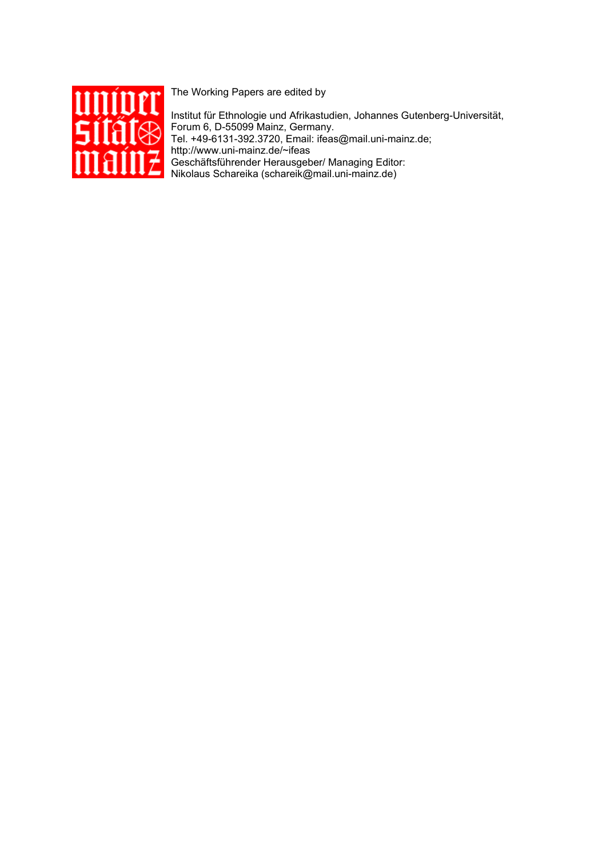

The Working Papers are edited by

Institut für Ethnologie und Afrikastudien, Johannes Gutenberg-Universität, Forum 6, D-55099 Mainz, Germany. Tel. +49-6131-392.3720, Email: ifeas@mail.uni-mainz.de; http://www.uni-mainz.de/~ifeas Geschäftsführender Herausgeber/ Managing Editor: Nikolaus Schareika (schareik@mail.uni-mainz.de)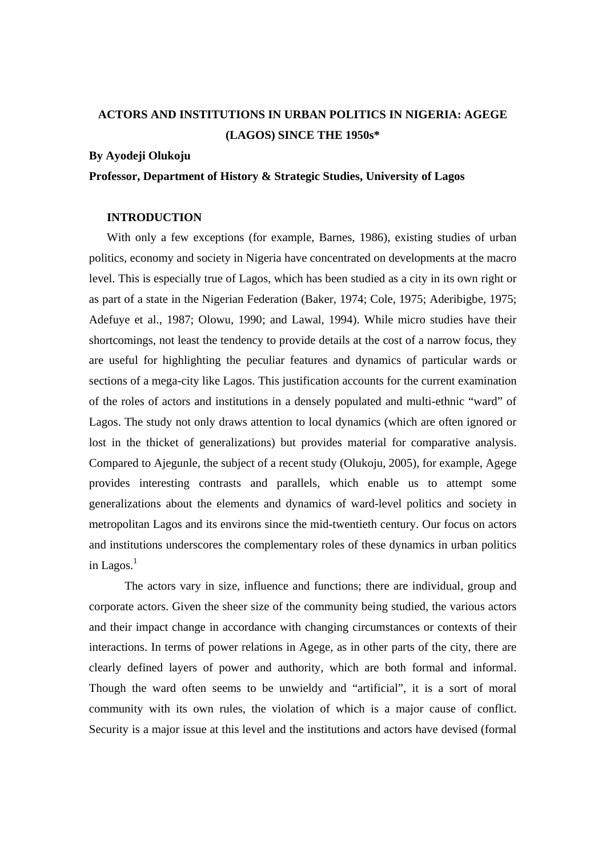# **ACTORS AND INSTITUTIONS IN URBAN POLITICS IN NIGERIA: AGEGE (LAGOS) SINCE THE 1950s\***

# **By Ayodeji Olukoju**

# **Professor, Department of History & Strategic Studies, University of Lagos**

# **INTRODUCTION**

With only a few exceptions (for example, Barnes, 1986), existing studies of urban politics, economy and society in Nigeria have concentrated on developments at the macro level. This is especially true of Lagos, which has been studied as a city in its own right or as part of a state in the Nigerian Federation (Baker, 1974; Cole, 1975; Aderibigbe, 1975; Adefuye et al., 1987; Olowu, 1990; and Lawal, 1994). While micro studies have their shortcomings, not least the tendency to provide details at the cost of a narrow focus, they are useful for highlighting the peculiar features and dynamics of particular wards or sections of a mega-city like Lagos. This justification accounts for the current examination of the roles of actors and institutions in a densely populated and multi-ethnic "ward" of Lagos. The study not only draws attention to local dynamics (which are often ignored or lost in the thicket of generalizations) but provides material for comparative analysis. Compared to Ajegunle, the subject of a recent study (Olukoju, 2005), for example, Agege provides interesting contrasts and parallels, which enable us to attempt some generalizations about the elements and dynamics of ward-level politics and society in metropolitan Lagos and its environs since the mid-twentieth century. Our focus on actors and institutions underscores the complementary roles of these dynamics in urban politics in Lagos. $<sup>1</sup>$ </sup>

The actors vary in size, influence and functions; there are individual, group and corporate actors. Given the sheer size of the community being studied, the various actors and their impact change in accordance with changing circumstances or contexts of their interactions. In terms of power relations in Agege, as in other parts of the city, there are clearly defined layers of power and authority, which are both formal and informal. Though the ward often seems to be unwieldy and "artificial", it is a sort of moral community with its own rules, the violation of which is a major cause of conflict. Security is a major issue at this level and the institutions and actors have devised (formal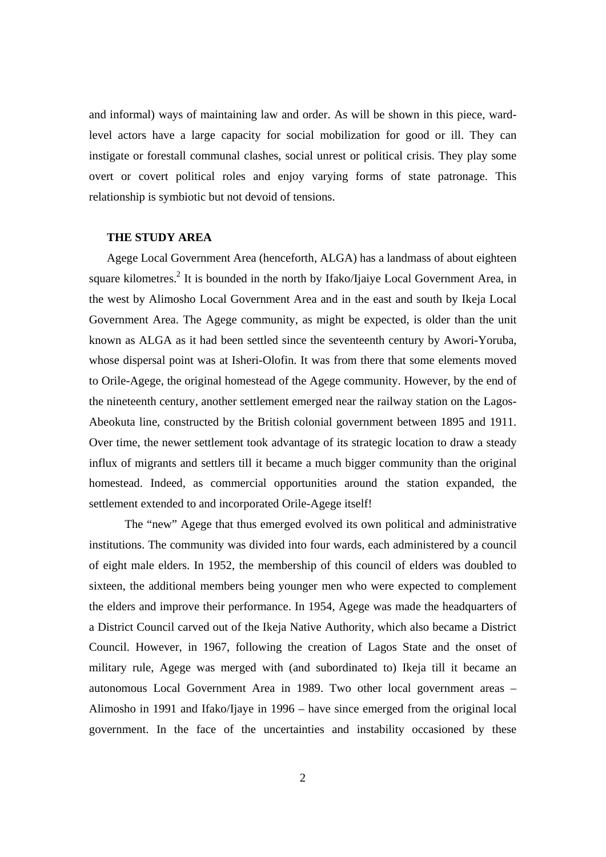and informal) ways of maintaining law and order. As will be shown in this piece, wardlevel actors have a large capacity for social mobilization for good or ill. They can instigate or forestall communal clashes, social unrest or political crisis. They play some overt or covert political roles and enjoy varying forms of state patronage. This relationship is symbiotic but not devoid of tensions.

# **THE STUDY AREA**

Agege Local Government Area (henceforth, ALGA) has a landmass of about eighteen square kilometres.<sup>2</sup> It is bounded in the north by Ifako/Ijaiye Local Government Area, in the west by Alimosho Local Government Area and in the east and south by Ikeja Local Government Area. The Agege community, as might be expected, is older than the unit known as ALGA as it had been settled since the seventeenth century by Awori-Yoruba, whose dispersal point was at Isheri-Olofin. It was from there that some elements moved to Orile-Agege, the original homestead of the Agege community. However, by the end of the nineteenth century, another settlement emerged near the railway station on the Lagos-Abeokuta line, constructed by the British colonial government between 1895 and 1911. Over time, the newer settlement took advantage of its strategic location to draw a steady influx of migrants and settlers till it became a much bigger community than the original homestead. Indeed, as commercial opportunities around the station expanded, the settlement extended to and incorporated Orile-Agege itself!

 The "new" Agege that thus emerged evolved its own political and administrative institutions. The community was divided into four wards, each administered by a council of eight male elders. In 1952, the membership of this council of elders was doubled to sixteen, the additional members being younger men who were expected to complement the elders and improve their performance. In 1954, Agege was made the headquarters of a District Council carved out of the Ikeja Native Authority, which also became a District Council. However, in 1967, following the creation of Lagos State and the onset of military rule, Agege was merged with (and subordinated to) Ikeja till it became an autonomous Local Government Area in 1989. Two other local government areas – Alimosho in 1991 and Ifako/Ijaye in 1996 – have since emerged from the original local government. In the face of the uncertainties and instability occasioned by these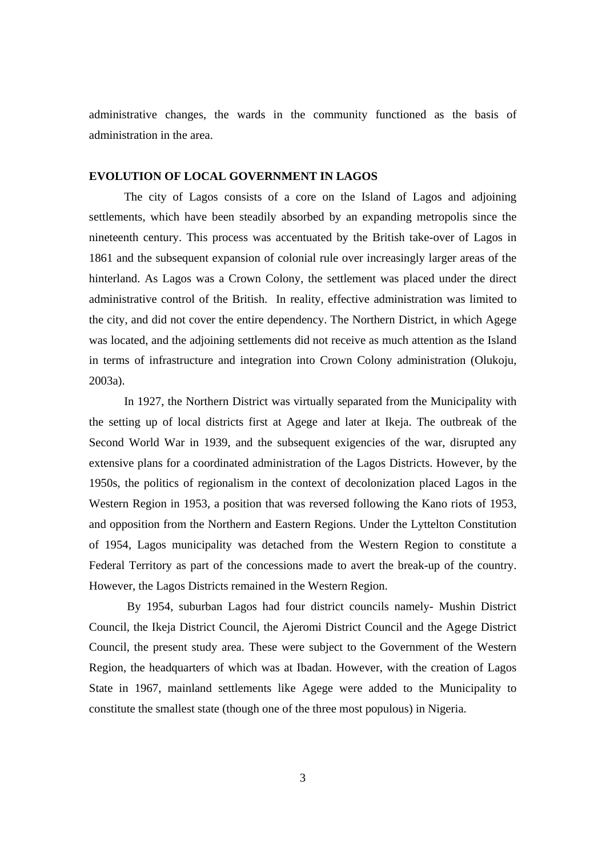administrative changes, the wards in the community functioned as the basis of administration in the area.

# **EVOLUTION OF LOCAL GOVERNMENT IN LAGOS**

The city of Lagos consists of a core on the Island of Lagos and adjoining settlements, which have been steadily absorbed by an expanding metropolis since the nineteenth century. This process was accentuated by the British take-over of Lagos in 1861 and the subsequent expansion of colonial rule over increasingly larger areas of the hinterland. As Lagos was a Crown Colony, the settlement was placed under the direct administrative control of the British. In reality, effective administration was limited to the city, and did not cover the entire dependency. The Northern District, in which Agege was located, and the adjoining settlements did not receive as much attention as the Island in terms of infrastructure and integration into Crown Colony administration (Olukoju, 2003a).

In 1927, the Northern District was virtually separated from the Municipality with the setting up of local districts first at Agege and later at Ikeja. The outbreak of the Second World War in 1939, and the subsequent exigencies of the war, disrupted any extensive plans for a coordinated administration of the Lagos Districts. However, by the 1950s, the politics of regionalism in the context of decolonization placed Lagos in the Western Region in 1953, a position that was reversed following the Kano riots of 1953, and opposition from the Northern and Eastern Regions. Under the Lyttelton Constitution of 1954, Lagos municipality was detached from the Western Region to constitute a Federal Territory as part of the concessions made to avert the break-up of the country. However, the Lagos Districts remained in the Western Region.

 By 1954, suburban Lagos had four district councils namely- Mushin District Council, the Ikeja District Council, the Ajeromi District Council and the Agege District Council, the present study area. These were subject to the Government of the Western Region, the headquarters of which was at Ibadan. However, with the creation of Lagos State in 1967, mainland settlements like Agege were added to the Municipality to constitute the smallest state (though one of the three most populous) in Nigeria.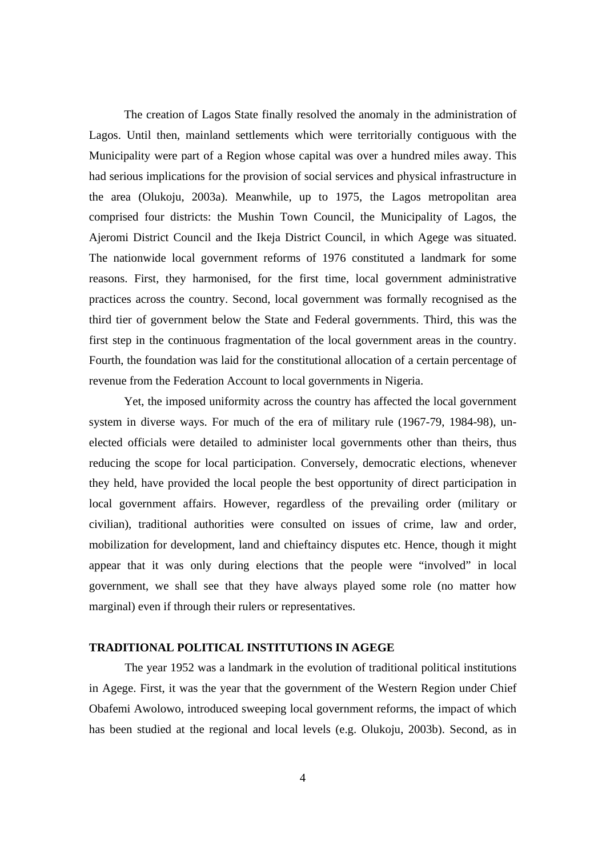The creation of Lagos State finally resolved the anomaly in the administration of Lagos. Until then, mainland settlements which were territorially contiguous with the Municipality were part of a Region whose capital was over a hundred miles away. This had serious implications for the provision of social services and physical infrastructure in the area (Olukoju, 2003a). Meanwhile, up to 1975, the Lagos metropolitan area comprised four districts: the Mushin Town Council, the Municipality of Lagos, the Ajeromi District Council and the Ikeja District Council, in which Agege was situated. The nationwide local government reforms of 1976 constituted a landmark for some reasons. First, they harmonised, for the first time, local government administrative practices across the country. Second, local government was formally recognised as the third tier of government below the State and Federal governments. Third, this was the first step in the continuous fragmentation of the local government areas in the country. Fourth, the foundation was laid for the constitutional allocation of a certain percentage of revenue from the Federation Account to local governments in Nigeria.

Yet, the imposed uniformity across the country has affected the local government system in diverse ways. For much of the era of military rule (1967-79, 1984-98), unelected officials were detailed to administer local governments other than theirs, thus reducing the scope for local participation. Conversely, democratic elections, whenever they held, have provided the local people the best opportunity of direct participation in local government affairs. However, regardless of the prevailing order (military or civilian), traditional authorities were consulted on issues of crime, law and order, mobilization for development, land and chieftaincy disputes etc. Hence, though it might appear that it was only during elections that the people were "involved" in local government, we shall see that they have always played some role (no matter how marginal) even if through their rulers or representatives.

# **TRADITIONAL POLITICAL INSTITUTIONS IN AGEGE**

The year 1952 was a landmark in the evolution of traditional political institutions in Agege. First, it was the year that the government of the Western Region under Chief Obafemi Awolowo, introduced sweeping local government reforms, the impact of which has been studied at the regional and local levels (e.g. Olukoju, 2003b). Second, as in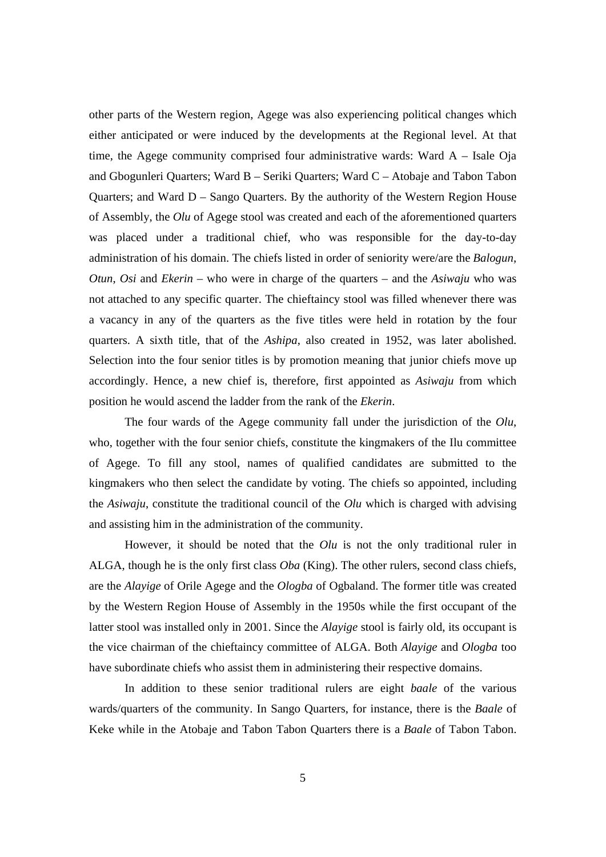other parts of the Western region, Agege was also experiencing political changes which either anticipated or were induced by the developments at the Regional level. At that time, the Agege community comprised four administrative wards: Ward  $A - Isale Oja$ and Gbogunleri Quarters; Ward B – Seriki Quarters; Ward C – Atobaje and Tabon Tabon Quarters; and Ward D – Sango Quarters. By the authority of the Western Region House of Assembly, the *Olu* of Agege stool was created and each of the aforementioned quarters was placed under a traditional chief, who was responsible for the day-to-day administration of his domain. The chiefs listed in order of seniority were/are the *Balogun*, *Otun*, *Osi* and *Ekerin* – who were in charge of the quarters – and the *Asiwaju* who was not attached to any specific quarter. The chieftaincy stool was filled whenever there was a vacancy in any of the quarters as the five titles were held in rotation by the four quarters. A sixth title, that of the *Ashipa*, also created in 1952, was later abolished. Selection into the four senior titles is by promotion meaning that junior chiefs move up accordingly. Hence, a new chief is, therefore, first appointed as *Asiwaju* from which position he would ascend the ladder from the rank of the *Ekerin*.

 The four wards of the Agege community fall under the jurisdiction of the *Olu*, who, together with the four senior chiefs, constitute the kingmakers of the Ilu committee of Agege. To fill any stool, names of qualified candidates are submitted to the kingmakers who then select the candidate by voting. The chiefs so appointed, including the *Asiwaju*, constitute the traditional council of the *Olu* which is charged with advising and assisting him in the administration of the community.

 However, it should be noted that the *Olu* is not the only traditional ruler in ALGA, though he is the only first class *Oba* (King). The other rulers, second class chiefs, are the *Alayige* of Orile Agege and the *Ologba* of Ogbaland. The former title was created by the Western Region House of Assembly in the 1950s while the first occupant of the latter stool was installed only in 2001. Since the *Alayige* stool is fairly old, its occupant is the vice chairman of the chieftaincy committee of ALGA. Both *Alayige* and *Ologba* too have subordinate chiefs who assist them in administering their respective domains.

 In addition to these senior traditional rulers are eight *baale* of the various wards/quarters of the community. In Sango Quarters, for instance, there is the *Baale* of Keke while in the Atobaje and Tabon Tabon Quarters there is a *Baale* of Tabon Tabon.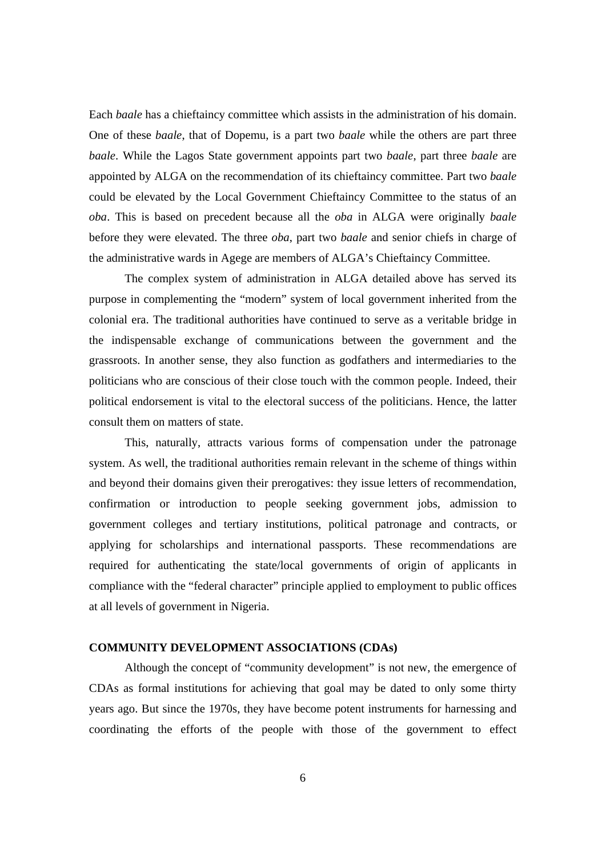Each *baale* has a chieftaincy committee which assists in the administration of his domain. One of these *baale*, that of Dopemu, is a part two *baale* while the others are part three *baale*. While the Lagos State government appoints part two *baale*, part three *baale* are appointed by ALGA on the recommendation of its chieftaincy committee. Part two *baale* could be elevated by the Local Government Chieftaincy Committee to the status of an *oba*. This is based on precedent because all the *oba* in ALGA were originally *baale* before they were elevated. The three *oba*, part two *baale* and senior chiefs in charge of the administrative wards in Agege are members of ALGA's Chieftaincy Committee.

 The complex system of administration in ALGA detailed above has served its purpose in complementing the "modern" system of local government inherited from the colonial era. The traditional authorities have continued to serve as a veritable bridge in the indispensable exchange of communications between the government and the grassroots. In another sense, they also function as godfathers and intermediaries to the politicians who are conscious of their close touch with the common people. Indeed, their political endorsement is vital to the electoral success of the politicians. Hence, the latter consult them on matters of state.

This, naturally, attracts various forms of compensation under the patronage system. As well, the traditional authorities remain relevant in the scheme of things within and beyond their domains given their prerogatives: they issue letters of recommendation, confirmation or introduction to people seeking government jobs, admission to government colleges and tertiary institutions, political patronage and contracts, or applying for scholarships and international passports. These recommendations are required for authenticating the state/local governments of origin of applicants in compliance with the "federal character" principle applied to employment to public offices at all levels of government in Nigeria.

## **COMMUNITY DEVELOPMENT ASSOCIATIONS (CDAs)**

 Although the concept of "community development" is not new, the emergence of CDAs as formal institutions for achieving that goal may be dated to only some thirty years ago. But since the 1970s, they have become potent instruments for harnessing and coordinating the efforts of the people with those of the government to effect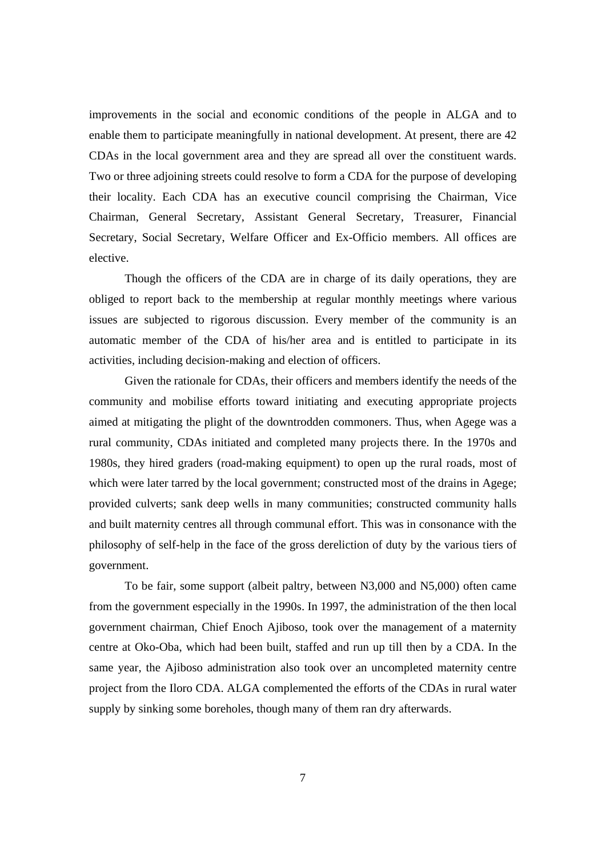improvements in the social and economic conditions of the people in ALGA and to enable them to participate meaningfully in national development. At present, there are 42 CDAs in the local government area and they are spread all over the constituent wards. Two or three adjoining streets could resolve to form a CDA for the purpose of developing their locality. Each CDA has an executive council comprising the Chairman, Vice Chairman, General Secretary, Assistant General Secretary, Treasurer, Financial Secretary, Social Secretary, Welfare Officer and Ex-Officio members. All offices are elective.

 Though the officers of the CDA are in charge of its daily operations, they are obliged to report back to the membership at regular monthly meetings where various issues are subjected to rigorous discussion. Every member of the community is an automatic member of the CDA of his/her area and is entitled to participate in its activities, including decision-making and election of officers.

 Given the rationale for CDAs, their officers and members identify the needs of the community and mobilise efforts toward initiating and executing appropriate projects aimed at mitigating the plight of the downtrodden commoners. Thus, when Agege was a rural community, CDAs initiated and completed many projects there. In the 1970s and 1980s, they hired graders (road-making equipment) to open up the rural roads, most of which were later tarred by the local government; constructed most of the drains in Agege; provided culverts; sank deep wells in many communities; constructed community halls and built maternity centres all through communal effort. This was in consonance with the philosophy of self-help in the face of the gross dereliction of duty by the various tiers of government.

 To be fair, some support (albeit paltry, between N3,000 and N5,000) often came from the government especially in the 1990s. In 1997, the administration of the then local government chairman, Chief Enoch Ajiboso, took over the management of a maternity centre at Oko-Oba, which had been built, staffed and run up till then by a CDA. In the same year, the Ajiboso administration also took over an uncompleted maternity centre project from the Iloro CDA. ALGA complemented the efforts of the CDAs in rural water supply by sinking some boreholes, though many of them ran dry afterwards.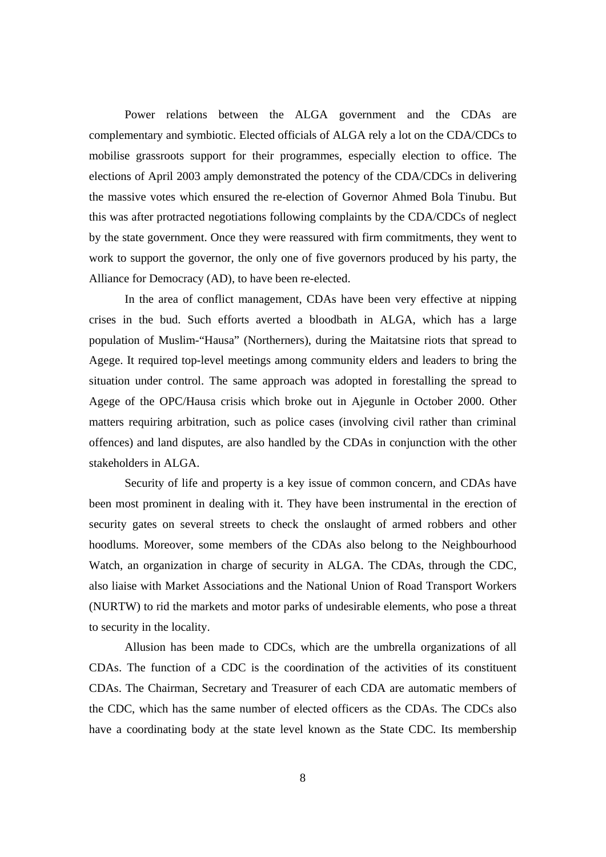Power relations between the ALGA government and the CDAs are complementary and symbiotic. Elected officials of ALGA rely a lot on the CDA/CDCs to mobilise grassroots support for their programmes, especially election to office. The elections of April 2003 amply demonstrated the potency of the CDA/CDCs in delivering the massive votes which ensured the re-election of Governor Ahmed Bola Tinubu. But this was after protracted negotiations following complaints by the CDA/CDCs of neglect by the state government. Once they were reassured with firm commitments, they went to work to support the governor, the only one of five governors produced by his party, the Alliance for Democracy (AD), to have been re-elected.

 In the area of conflict management, CDAs have been very effective at nipping crises in the bud. Such efforts averted a bloodbath in ALGA, which has a large population of Muslim-"Hausa" (Northerners), during the Maitatsine riots that spread to Agege. It required top-level meetings among community elders and leaders to bring the situation under control. The same approach was adopted in forestalling the spread to Agege of the OPC/Hausa crisis which broke out in Ajegunle in October 2000. Other matters requiring arbitration, such as police cases (involving civil rather than criminal offences) and land disputes, are also handled by the CDAs in conjunction with the other stakeholders in ALGA.

 Security of life and property is a key issue of common concern, and CDAs have been most prominent in dealing with it. They have been instrumental in the erection of security gates on several streets to check the onslaught of armed robbers and other hoodlums. Moreover, some members of the CDAs also belong to the Neighbourhood Watch, an organization in charge of security in ALGA. The CDAs, through the CDC, also liaise with Market Associations and the National Union of Road Transport Workers (NURTW) to rid the markets and motor parks of undesirable elements, who pose a threat to security in the locality.

 Allusion has been made to CDCs, which are the umbrella organizations of all CDAs. The function of a CDC is the coordination of the activities of its constituent CDAs. The Chairman, Secretary and Treasurer of each CDA are automatic members of the CDC, which has the same number of elected officers as the CDAs. The CDCs also have a coordinating body at the state level known as the State CDC. Its membership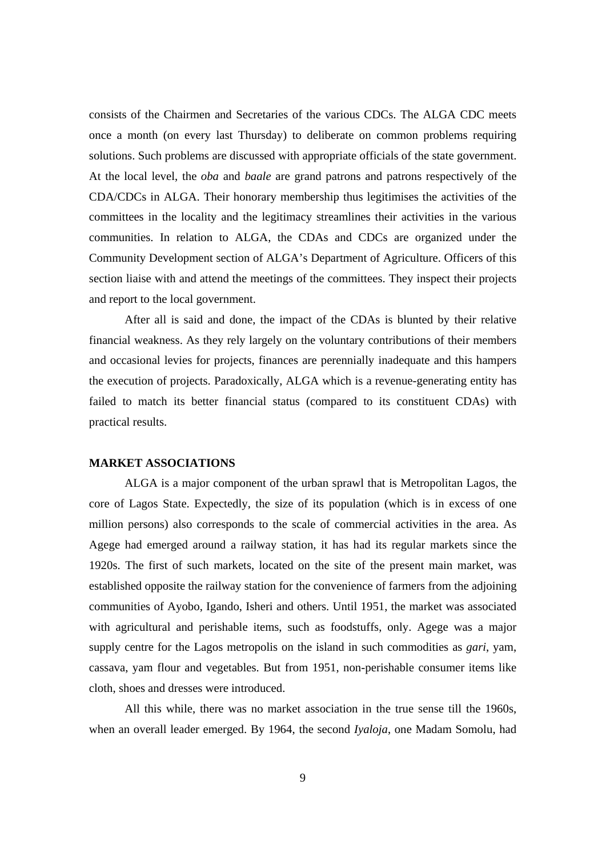consists of the Chairmen and Secretaries of the various CDCs. The ALGA CDC meets once a month (on every last Thursday) to deliberate on common problems requiring solutions. Such problems are discussed with appropriate officials of the state government. At the local level, the *oba* and *baale* are grand patrons and patrons respectively of the CDA/CDCs in ALGA. Their honorary membership thus legitimises the activities of the committees in the locality and the legitimacy streamlines their activities in the various communities. In relation to ALGA, the CDAs and CDCs are organized under the Community Development section of ALGA's Department of Agriculture. Officers of this section liaise with and attend the meetings of the committees. They inspect their projects and report to the local government.

 After all is said and done, the impact of the CDAs is blunted by their relative financial weakness. As they rely largely on the voluntary contributions of their members and occasional levies for projects, finances are perennially inadequate and this hampers the execution of projects. Paradoxically, ALGA which is a revenue-generating entity has failed to match its better financial status (compared to its constituent CDAs) with practical results.

# **MARKET ASSOCIATIONS**

 ALGA is a major component of the urban sprawl that is Metropolitan Lagos, the core of Lagos State. Expectedly, the size of its population (which is in excess of one million persons) also corresponds to the scale of commercial activities in the area. As Agege had emerged around a railway station, it has had its regular markets since the 1920s. The first of such markets, located on the site of the present main market, was established opposite the railway station for the convenience of farmers from the adjoining communities of Ayobo, Igando, Isheri and others. Until 1951, the market was associated with agricultural and perishable items, such as foodstuffs, only. Agege was a major supply centre for the Lagos metropolis on the island in such commodities as *gari*, yam, cassava, yam flour and vegetables. But from 1951, non-perishable consumer items like cloth, shoes and dresses were introduced.

 All this while, there was no market association in the true sense till the 1960s, when an overall leader emerged. By 1964, the second *Iyaloja*, one Madam Somolu, had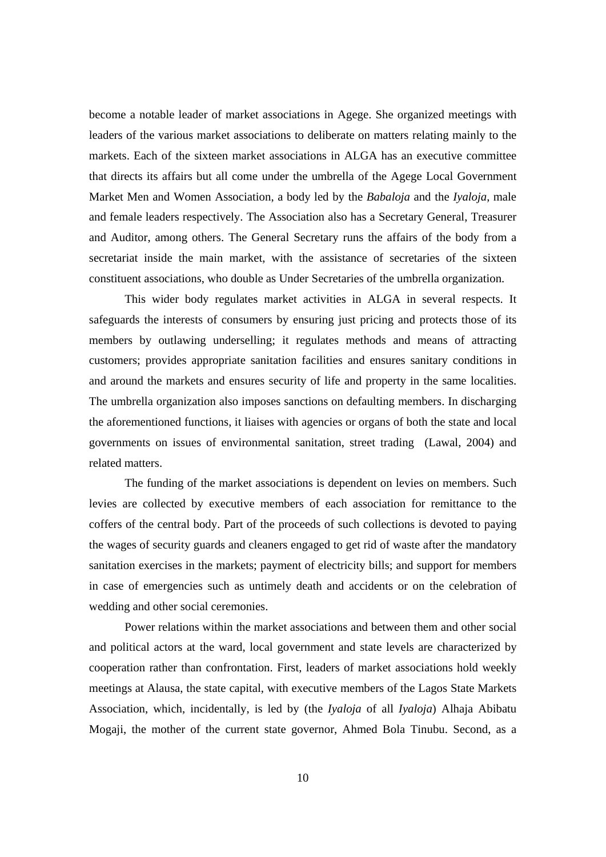become a notable leader of market associations in Agege. She organized meetings with leaders of the various market associations to deliberate on matters relating mainly to the markets. Each of the sixteen market associations in ALGA has an executive committee that directs its affairs but all come under the umbrella of the Agege Local Government Market Men and Women Association, a body led by the *Babaloja* and the *Iyaloja*, male and female leaders respectively. The Association also has a Secretary General, Treasurer and Auditor, among others. The General Secretary runs the affairs of the body from a secretariat inside the main market, with the assistance of secretaries of the sixteen constituent associations, who double as Under Secretaries of the umbrella organization.

 This wider body regulates market activities in ALGA in several respects. It safeguards the interests of consumers by ensuring just pricing and protects those of its members by outlawing underselling; it regulates methods and means of attracting customers; provides appropriate sanitation facilities and ensures sanitary conditions in and around the markets and ensures security of life and property in the same localities. The umbrella organization also imposes sanctions on defaulting members. In discharging the aforementioned functions, it liaises with agencies or organs of both the state and local governments on issues of environmental sanitation, street trading (Lawal, 2004) and related matters.

 The funding of the market associations is dependent on levies on members. Such levies are collected by executive members of each association for remittance to the coffers of the central body. Part of the proceeds of such collections is devoted to paying the wages of security guards and cleaners engaged to get rid of waste after the mandatory sanitation exercises in the markets; payment of electricity bills; and support for members in case of emergencies such as untimely death and accidents or on the celebration of wedding and other social ceremonies.

 Power relations within the market associations and between them and other social and political actors at the ward, local government and state levels are characterized by cooperation rather than confrontation. First, leaders of market associations hold weekly meetings at Alausa, the state capital, with executive members of the Lagos State Markets Association, which, incidentally, is led by (the *Iyaloja* of all *Iyaloja*) Alhaja Abibatu Mogaji, the mother of the current state governor, Ahmed Bola Tinubu. Second, as a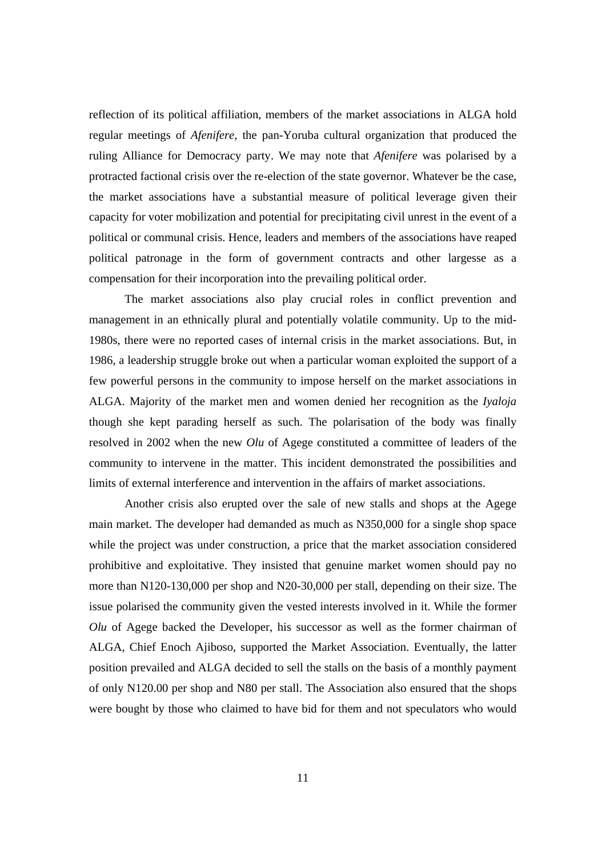reflection of its political affiliation, members of the market associations in ALGA hold regular meetings of *Afenifere*, the pan-Yoruba cultural organization that produced the ruling Alliance for Democracy party. We may note that *Afenifere* was polarised by a protracted factional crisis over the re-election of the state governor. Whatever be the case, the market associations have a substantial measure of political leverage given their capacity for voter mobilization and potential for precipitating civil unrest in the event of a political or communal crisis. Hence, leaders and members of the associations have reaped political patronage in the form of government contracts and other largesse as a compensation for their incorporation into the prevailing political order.

The market associations also play crucial roles in conflict prevention and management in an ethnically plural and potentially volatile community. Up to the mid-1980s, there were no reported cases of internal crisis in the market associations. But, in 1986, a leadership struggle broke out when a particular woman exploited the support of a few powerful persons in the community to impose herself on the market associations in ALGA. Majority of the market men and women denied her recognition as the *Iyaloja* though she kept parading herself as such. The polarisation of the body was finally resolved in 2002 when the new *Olu* of Agege constituted a committee of leaders of the community to intervene in the matter. This incident demonstrated the possibilities and limits of external interference and intervention in the affairs of market associations.

Another crisis also erupted over the sale of new stalls and shops at the Agege main market. The developer had demanded as much as N350,000 for a single shop space while the project was under construction, a price that the market association considered prohibitive and exploitative. They insisted that genuine market women should pay no more than N120-130,000 per shop and N20-30,000 per stall, depending on their size. The issue polarised the community given the vested interests involved in it. While the former *Olu* of Agege backed the Developer, his successor as well as the former chairman of ALGA, Chief Enoch Ajiboso, supported the Market Association. Eventually, the latter position prevailed and ALGA decided to sell the stalls on the basis of a monthly payment of only N120.00 per shop and N80 per stall. The Association also ensured that the shops were bought by those who claimed to have bid for them and not speculators who would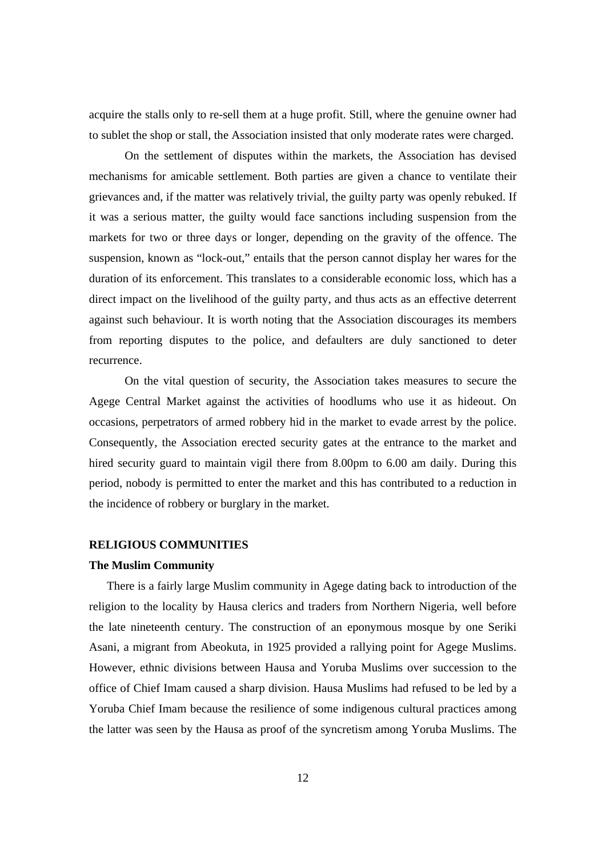acquire the stalls only to re-sell them at a huge profit. Still, where the genuine owner had to sublet the shop or stall, the Association insisted that only moderate rates were charged.

On the settlement of disputes within the markets, the Association has devised mechanisms for amicable settlement. Both parties are given a chance to ventilate their grievances and, if the matter was relatively trivial, the guilty party was openly rebuked. If it was a serious matter, the guilty would face sanctions including suspension from the markets for two or three days or longer, depending on the gravity of the offence. The suspension, known as "lock-out," entails that the person cannot display her wares for the duration of its enforcement. This translates to a considerable economic loss, which has a direct impact on the livelihood of the guilty party, and thus acts as an effective deterrent against such behaviour. It is worth noting that the Association discourages its members from reporting disputes to the police, and defaulters are duly sanctioned to deter recurrence.

On the vital question of security, the Association takes measures to secure the Agege Central Market against the activities of hoodlums who use it as hideout. On occasions, perpetrators of armed robbery hid in the market to evade arrest by the police. Consequently, the Association erected security gates at the entrance to the market and hired security guard to maintain vigil there from 8.00pm to 6.00 am daily. During this period, nobody is permitted to enter the market and this has contributed to a reduction in the incidence of robbery or burglary in the market.

# **RELIGIOUS COMMUNITIES**

#### **The Muslim Community**

There is a fairly large Muslim community in Agege dating back to introduction of the religion to the locality by Hausa clerics and traders from Northern Nigeria, well before the late nineteenth century. The construction of an eponymous mosque by one Seriki Asani, a migrant from Abeokuta, in 1925 provided a rallying point for Agege Muslims. However, ethnic divisions between Hausa and Yoruba Muslims over succession to the office of Chief Imam caused a sharp division. Hausa Muslims had refused to be led by a Yoruba Chief Imam because the resilience of some indigenous cultural practices among the latter was seen by the Hausa as proof of the syncretism among Yoruba Muslims. The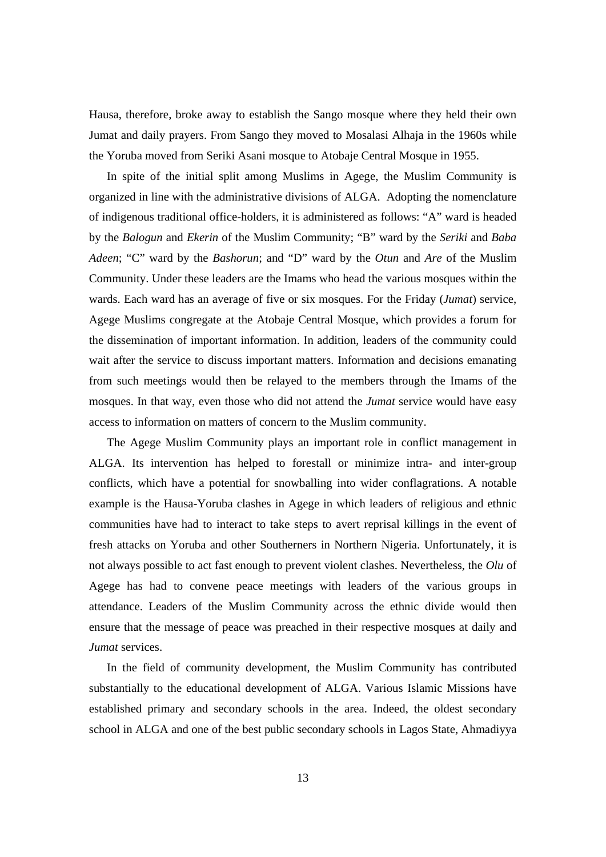Hausa, therefore, broke away to establish the Sango mosque where they held their own Jumat and daily prayers. From Sango they moved to Mosalasi Alhaja in the 1960s while the Yoruba moved from Seriki Asani mosque to Atobaje Central Mosque in 1955.

In spite of the initial split among Muslims in Agege, the Muslim Community is organized in line with the administrative divisions of ALGA. Adopting the nomenclature of indigenous traditional office-holders, it is administered as follows: "A" ward is headed by the *Balogun* and *Ekerin* of the Muslim Community; "B" ward by the *Seriki* and *Baba Adeen*; "C" ward by the *Bashorun*; and "D" ward by the *Otun* and *Are* of the Muslim Community. Under these leaders are the Imams who head the various mosques within the wards. Each ward has an average of five or six mosques. For the Friday (*Jumat*) service, Agege Muslims congregate at the Atobaje Central Mosque, which provides a forum for the dissemination of important information. In addition, leaders of the community could wait after the service to discuss important matters. Information and decisions emanating from such meetings would then be relayed to the members through the Imams of the mosques. In that way, even those who did not attend the *Jumat* service would have easy access to information on matters of concern to the Muslim community.

The Agege Muslim Community plays an important role in conflict management in ALGA. Its intervention has helped to forestall or minimize intra- and inter-group conflicts, which have a potential for snowballing into wider conflagrations. A notable example is the Hausa-Yoruba clashes in Agege in which leaders of religious and ethnic communities have had to interact to take steps to avert reprisal killings in the event of fresh attacks on Yoruba and other Southerners in Northern Nigeria. Unfortunately, it is not always possible to act fast enough to prevent violent clashes. Nevertheless, the *Olu* of Agege has had to convene peace meetings with leaders of the various groups in attendance. Leaders of the Muslim Community across the ethnic divide would then ensure that the message of peace was preached in their respective mosques at daily and *Jumat* services.

In the field of community development, the Muslim Community has contributed substantially to the educational development of ALGA. Various Islamic Missions have established primary and secondary schools in the area. Indeed, the oldest secondary school in ALGA and one of the best public secondary schools in Lagos State, Ahmadiyya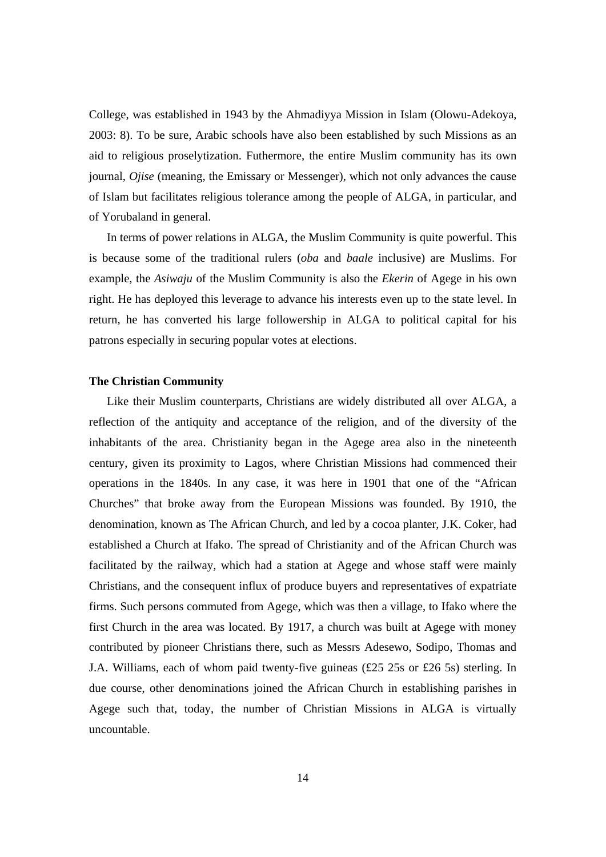College, was established in 1943 by the Ahmadiyya Mission in Islam (Olowu-Adekoya, 2003: 8). To be sure, Arabic schools have also been established by such Missions as an aid to religious proselytization. Futhermore, the entire Muslim community has its own journal, *Ojise* (meaning, the Emissary or Messenger), which not only advances the cause of Islam but facilitates religious tolerance among the people of ALGA, in particular, and of Yorubaland in general.

In terms of power relations in ALGA, the Muslim Community is quite powerful. This is because some of the traditional rulers (*oba* and *baale* inclusive) are Muslims. For example, the *Asiwaju* of the Muslim Community is also the *Ekerin* of Agege in his own right. He has deployed this leverage to advance his interests even up to the state level. In return, he has converted his large followership in ALGA to political capital for his patrons especially in securing popular votes at elections.

#### **The Christian Community**

Like their Muslim counterparts, Christians are widely distributed all over ALGA, a reflection of the antiquity and acceptance of the religion, and of the diversity of the inhabitants of the area. Christianity began in the Agege area also in the nineteenth century, given its proximity to Lagos, where Christian Missions had commenced their operations in the 1840s. In any case, it was here in 1901 that one of the "African Churches" that broke away from the European Missions was founded. By 1910, the denomination, known as The African Church, and led by a cocoa planter, J.K. Coker, had established a Church at Ifako. The spread of Christianity and of the African Church was facilitated by the railway, which had a station at Agege and whose staff were mainly Christians, and the consequent influx of produce buyers and representatives of expatriate firms. Such persons commuted from Agege, which was then a village, to Ifako where the first Church in the area was located. By 1917, a church was built at Agege with money contributed by pioneer Christians there, such as Messrs Adesewo, Sodipo, Thomas and J.A. Williams, each of whom paid twenty-five guineas (£25 25s or £26 5s) sterling. In due course, other denominations joined the African Church in establishing parishes in Agege such that, today, the number of Christian Missions in ALGA is virtually uncountable.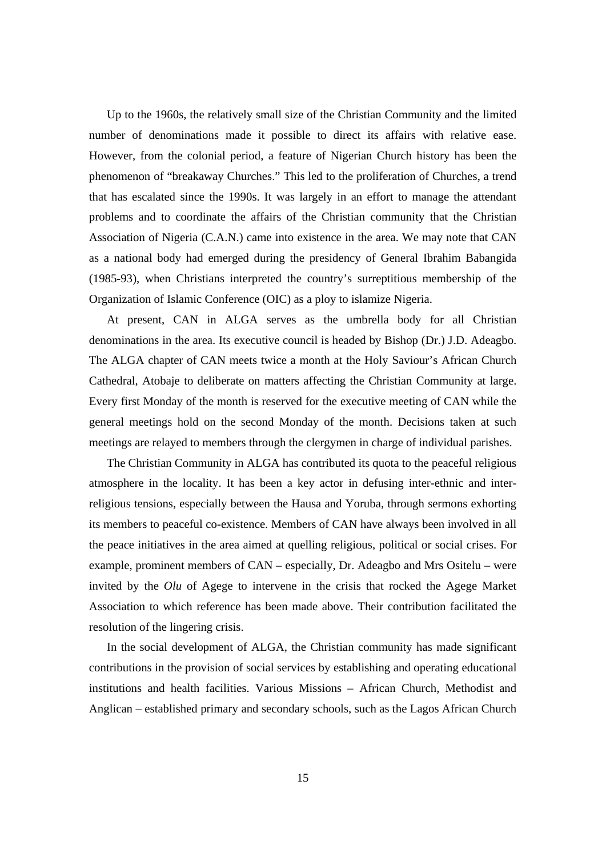Up to the 1960s, the relatively small size of the Christian Community and the limited number of denominations made it possible to direct its affairs with relative ease. However, from the colonial period, a feature of Nigerian Church history has been the phenomenon of "breakaway Churches." This led to the proliferation of Churches, a trend that has escalated since the 1990s. It was largely in an effort to manage the attendant problems and to coordinate the affairs of the Christian community that the Christian Association of Nigeria (C.A.N.) came into existence in the area. We may note that CAN as a national body had emerged during the presidency of General Ibrahim Babangida (1985-93), when Christians interpreted the country's surreptitious membership of the Organization of Islamic Conference (OIC) as a ploy to islamize Nigeria.

At present, CAN in ALGA serves as the umbrella body for all Christian denominations in the area. Its executive council is headed by Bishop (Dr.) J.D. Adeagbo. The ALGA chapter of CAN meets twice a month at the Holy Saviour's African Church Cathedral, Atobaje to deliberate on matters affecting the Christian Community at large. Every first Monday of the month is reserved for the executive meeting of CAN while the general meetings hold on the second Monday of the month. Decisions taken at such meetings are relayed to members through the clergymen in charge of individual parishes.

The Christian Community in ALGA has contributed its quota to the peaceful religious atmosphere in the locality. It has been a key actor in defusing inter-ethnic and interreligious tensions, especially between the Hausa and Yoruba, through sermons exhorting its members to peaceful co-existence. Members of CAN have always been involved in all the peace initiatives in the area aimed at quelling religious, political or social crises. For example, prominent members of CAN – especially, Dr. Adeagbo and Mrs Ositelu – were invited by the *Olu* of Agege to intervene in the crisis that rocked the Agege Market Association to which reference has been made above. Their contribution facilitated the resolution of the lingering crisis.

In the social development of ALGA, the Christian community has made significant contributions in the provision of social services by establishing and operating educational institutions and health facilities. Various Missions – African Church, Methodist and Anglican – established primary and secondary schools, such as the Lagos African Church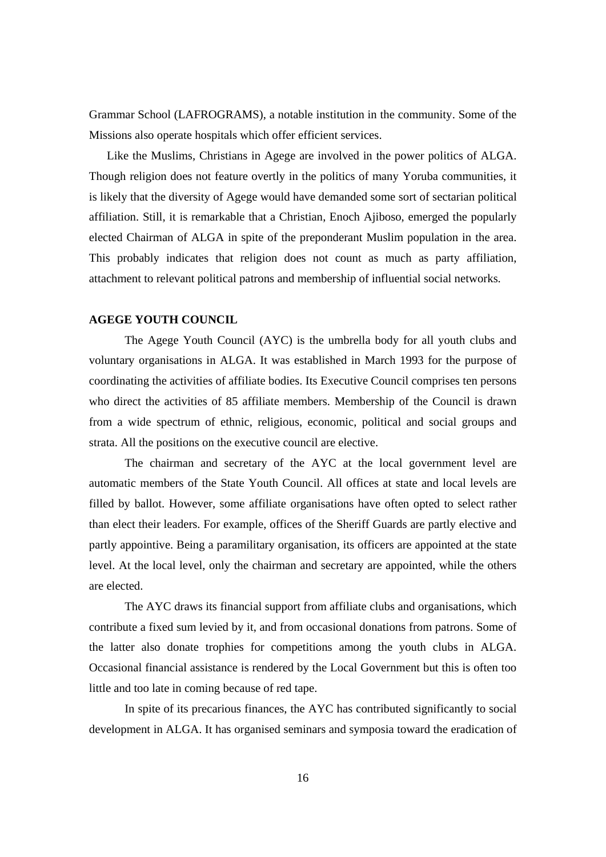Grammar School (LAFROGRAMS), a notable institution in the community. Some of the Missions also operate hospitals which offer efficient services.

Like the Muslims, Christians in Agege are involved in the power politics of ALGA. Though religion does not feature overtly in the politics of many Yoruba communities, it is likely that the diversity of Agege would have demanded some sort of sectarian political affiliation. Still, it is remarkable that a Christian, Enoch Ajiboso, emerged the popularly elected Chairman of ALGA in spite of the preponderant Muslim population in the area. This probably indicates that religion does not count as much as party affiliation, attachment to relevant political patrons and membership of influential social networks.

## **AGEGE YOUTH COUNCIL**

 The Agege Youth Council (AYC) is the umbrella body for all youth clubs and voluntary organisations in ALGA. It was established in March 1993 for the purpose of coordinating the activities of affiliate bodies. Its Executive Council comprises ten persons who direct the activities of 85 affiliate members. Membership of the Council is drawn from a wide spectrum of ethnic, religious, economic, political and social groups and strata. All the positions on the executive council are elective.

 The chairman and secretary of the AYC at the local government level are automatic members of the State Youth Council. All offices at state and local levels are filled by ballot. However, some affiliate organisations have often opted to select rather than elect their leaders. For example, offices of the Sheriff Guards are partly elective and partly appointive. Being a paramilitary organisation, its officers are appointed at the state level. At the local level, only the chairman and secretary are appointed, while the others are elected.

 The AYC draws its financial support from affiliate clubs and organisations, which contribute a fixed sum levied by it, and from occasional donations from patrons. Some of the latter also donate trophies for competitions among the youth clubs in ALGA. Occasional financial assistance is rendered by the Local Government but this is often too little and too late in coming because of red tape.

 In spite of its precarious finances, the AYC has contributed significantly to social development in ALGA. It has organised seminars and symposia toward the eradication of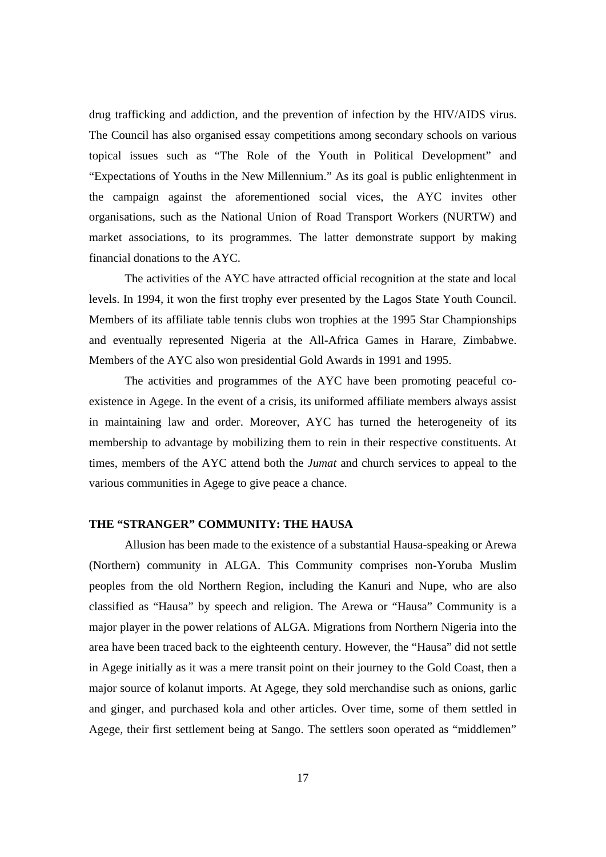drug trafficking and addiction, and the prevention of infection by the HIV/AIDS virus. The Council has also organised essay competitions among secondary schools on various topical issues such as "The Role of the Youth in Political Development" and "Expectations of Youths in the New Millennium." As its goal is public enlightenment in the campaign against the aforementioned social vices, the AYC invites other organisations, such as the National Union of Road Transport Workers (NURTW) and market associations, to its programmes. The latter demonstrate support by making financial donations to the AYC.

 The activities of the AYC have attracted official recognition at the state and local levels. In 1994, it won the first trophy ever presented by the Lagos State Youth Council. Members of its affiliate table tennis clubs won trophies at the 1995 Star Championships and eventually represented Nigeria at the All-Africa Games in Harare, Zimbabwe. Members of the AYC also won presidential Gold Awards in 1991 and 1995.

 The activities and programmes of the AYC have been promoting peaceful coexistence in Agege. In the event of a crisis, its uniformed affiliate members always assist in maintaining law and order. Moreover, AYC has turned the heterogeneity of its membership to advantage by mobilizing them to rein in their respective constituents. At times, members of the AYC attend both the *Jumat* and church services to appeal to the various communities in Agege to give peace a chance.

# **THE "STRANGER" COMMUNITY: THE HAUSA**

 Allusion has been made to the existence of a substantial Hausa-speaking or Arewa (Northern) community in ALGA. This Community comprises non-Yoruba Muslim peoples from the old Northern Region, including the Kanuri and Nupe, who are also classified as "Hausa" by speech and religion. The Arewa or "Hausa" Community is a major player in the power relations of ALGA. Migrations from Northern Nigeria into the area have been traced back to the eighteenth century. However, the "Hausa" did not settle in Agege initially as it was a mere transit point on their journey to the Gold Coast, then a major source of kolanut imports. At Agege, they sold merchandise such as onions, garlic and ginger, and purchased kola and other articles. Over time, some of them settled in Agege, their first settlement being at Sango. The settlers soon operated as "middlemen"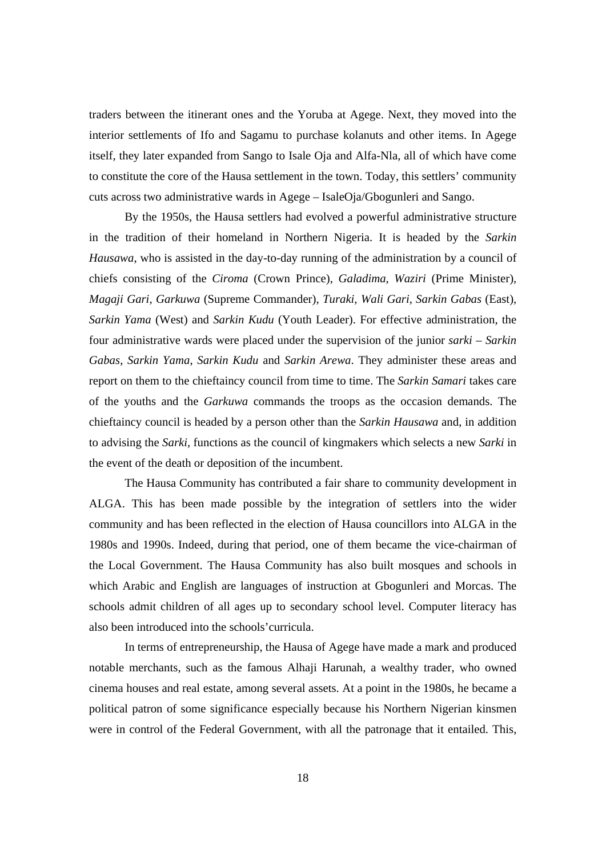traders between the itinerant ones and the Yoruba at Agege. Next, they moved into the interior settlements of Ifo and Sagamu to purchase kolanuts and other items. In Agege itself, they later expanded from Sango to Isale Oja and Alfa-Nla, all of which have come to constitute the core of the Hausa settlement in the town. Today, this settlers' community cuts across two administrative wards in Agege – IsaleOja/Gbogunleri and Sango.

 By the 1950s, the Hausa settlers had evolved a powerful administrative structure in the tradition of their homeland in Northern Nigeria. It is headed by the *Sarkin Hausawa*, who is assisted in the day-to-day running of the administration by a council of chiefs consisting of the *Ciroma* (Crown Prince), *Galadima*, *Waziri* (Prime Minister), *Magaji Gari*, *Garkuwa* (Supreme Commander), *Turaki*, *Wali Gari*, *Sarkin Gabas* (East), *Sarkin Yama* (West) and *Sarkin Kudu* (Youth Leader). For effective administration, the four administrative wards were placed under the supervision of the junior *sarki* – *Sarkin Gabas*, *Sarkin Yama*, *Sarkin Kudu* and *Sarkin Arewa*. They administer these areas and report on them to the chieftaincy council from time to time. The *Sarkin Samari* takes care of the youths and the *Garkuwa* commands the troops as the occasion demands. The chieftaincy council is headed by a person other than the *Sarkin Hausawa* and, in addition to advising the *Sarki*, functions as the council of kingmakers which selects a new *Sarki* in the event of the death or deposition of the incumbent.

 The Hausa Community has contributed a fair share to community development in ALGA. This has been made possible by the integration of settlers into the wider community and has been reflected in the election of Hausa councillors into ALGA in the 1980s and 1990s. Indeed, during that period, one of them became the vice-chairman of the Local Government. The Hausa Community has also built mosques and schools in which Arabic and English are languages of instruction at Gbogunleri and Morcas. The schools admit children of all ages up to secondary school level. Computer literacy has also been introduced into the schools'curricula.

 In terms of entrepreneurship, the Hausa of Agege have made a mark and produced notable merchants, such as the famous Alhaji Harunah, a wealthy trader, who owned cinema houses and real estate, among several assets. At a point in the 1980s, he became a political patron of some significance especially because his Northern Nigerian kinsmen were in control of the Federal Government, with all the patronage that it entailed. This,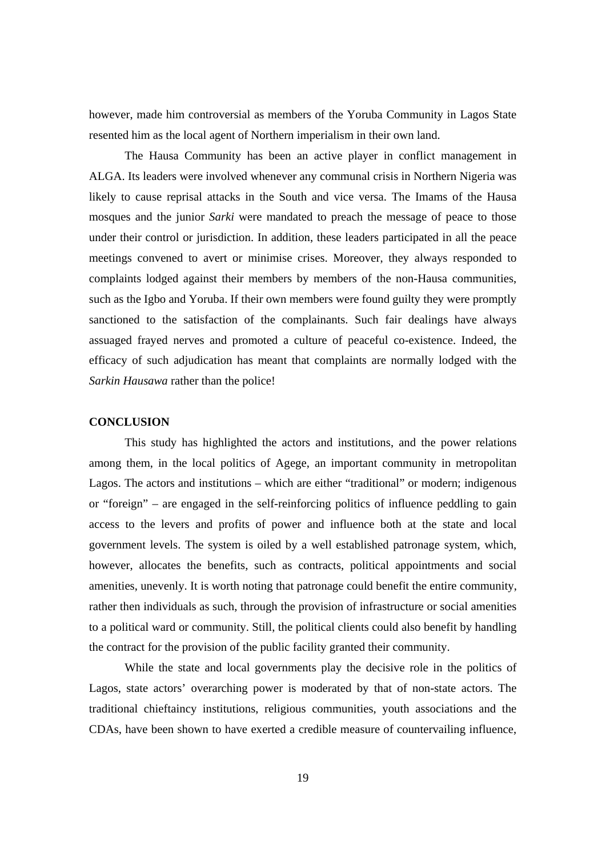however, made him controversial as members of the Yoruba Community in Lagos State resented him as the local agent of Northern imperialism in their own land.

 The Hausa Community has been an active player in conflict management in ALGA. Its leaders were involved whenever any communal crisis in Northern Nigeria was likely to cause reprisal attacks in the South and vice versa. The Imams of the Hausa mosques and the junior *Sarki* were mandated to preach the message of peace to those under their control or jurisdiction. In addition, these leaders participated in all the peace meetings convened to avert or minimise crises. Moreover, they always responded to complaints lodged against their members by members of the non-Hausa communities, such as the Igbo and Yoruba. If their own members were found guilty they were promptly sanctioned to the satisfaction of the complainants. Such fair dealings have always assuaged frayed nerves and promoted a culture of peaceful co-existence. Indeed, the efficacy of such adjudication has meant that complaints are normally lodged with the *Sarkin Hausawa* rather than the police!

### **CONCLUSION**

This study has highlighted the actors and institutions, and the power relations among them, in the local politics of Agege, an important community in metropolitan Lagos. The actors and institutions – which are either "traditional" or modern; indigenous or "foreign" – are engaged in the self-reinforcing politics of influence peddling to gain access to the levers and profits of power and influence both at the state and local government levels. The system is oiled by a well established patronage system, which, however, allocates the benefits, such as contracts, political appointments and social amenities, unevenly. It is worth noting that patronage could benefit the entire community, rather then individuals as such, through the provision of infrastructure or social amenities to a political ward or community. Still, the political clients could also benefit by handling the contract for the provision of the public facility granted their community.

While the state and local governments play the decisive role in the politics of Lagos, state actors' overarching power is moderated by that of non-state actors. The traditional chieftaincy institutions, religious communities, youth associations and the CDAs, have been shown to have exerted a credible measure of countervailing influence,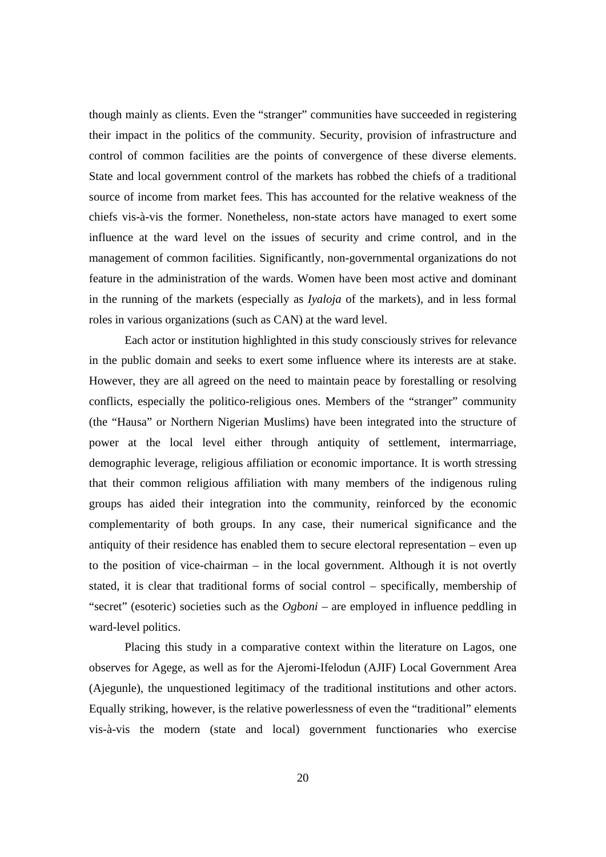though mainly as clients. Even the "stranger" communities have succeeded in registering their impact in the politics of the community. Security, provision of infrastructure and control of common facilities are the points of convergence of these diverse elements. State and local government control of the markets has robbed the chiefs of a traditional source of income from market fees. This has accounted for the relative weakness of the chiefs vis-à-vis the former. Nonetheless, non-state actors have managed to exert some influence at the ward level on the issues of security and crime control, and in the management of common facilities. Significantly, non-governmental organizations do not feature in the administration of the wards. Women have been most active and dominant in the running of the markets (especially as *Iyaloja* of the markets), and in less formal roles in various organizations (such as CAN) at the ward level.

Each actor or institution highlighted in this study consciously strives for relevance in the public domain and seeks to exert some influence where its interests are at stake. However, they are all agreed on the need to maintain peace by forestalling or resolving conflicts, especially the politico-religious ones. Members of the "stranger" community (the "Hausa" or Northern Nigerian Muslims) have been integrated into the structure of power at the local level either through antiquity of settlement, intermarriage, demographic leverage, religious affiliation or economic importance. It is worth stressing that their common religious affiliation with many members of the indigenous ruling groups has aided their integration into the community, reinforced by the economic complementarity of both groups. In any case, their numerical significance and the antiquity of their residence has enabled them to secure electoral representation – even up to the position of vice-chairman – in the local government. Although it is not overtly stated, it is clear that traditional forms of social control – specifically, membership of "secret" (esoteric) societies such as the *Ogboni* – are employed in influence peddling in ward-level politics.

Placing this study in a comparative context within the literature on Lagos, one observes for Agege, as well as for the Ajeromi-Ifelodun (AJIF) Local Government Area (Ajegunle), the unquestioned legitimacy of the traditional institutions and other actors. Equally striking, however, is the relative powerlessness of even the "traditional" elements vis-à-vis the modern (state and local) government functionaries who exercise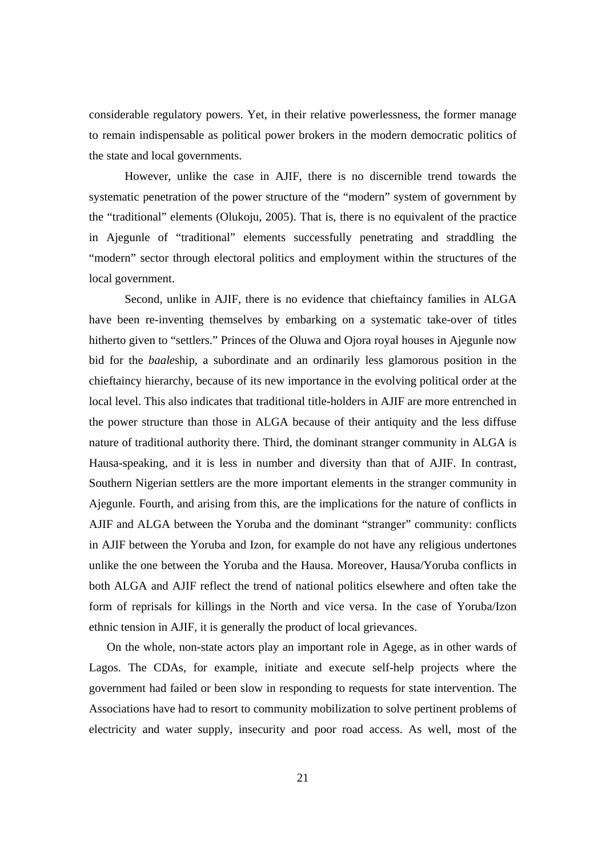considerable regulatory powers. Yet, in their relative powerlessness, the former manage to remain indispensable as political power brokers in the modern democratic politics of the state and local governments.

However, unlike the case in AJIF, there is no discernible trend towards the systematic penetration of the power structure of the "modern" system of government by the "traditional" elements (Olukoju, 2005). That is, there is no equivalent of the practice in Ajegunle of "traditional" elements successfully penetrating and straddling the "modern" sector through electoral politics and employment within the structures of the local government.

Second, unlike in AJIF, there is no evidence that chieftaincy families in ALGA have been re-inventing themselves by embarking on a systematic take-over of titles hitherto given to "settlers." Princes of the Oluwa and Ojora royal houses in Ajegunle now bid for the *baale*ship, a subordinate and an ordinarily less glamorous position in the chieftaincy hierarchy, because of its new importance in the evolving political order at the local level. This also indicates that traditional title-holders in AJIF are more entrenched in the power structure than those in ALGA because of their antiquity and the less diffuse nature of traditional authority there. Third, the dominant stranger community in ALGA is Hausa-speaking, and it is less in number and diversity than that of AJIF. In contrast, Southern Nigerian settlers are the more important elements in the stranger community in Ajegunle. Fourth, and arising from this, are the implications for the nature of conflicts in AJIF and ALGA between the Yoruba and the dominant "stranger" community: conflicts in AJIF between the Yoruba and Izon, for example do not have any religious undertones unlike the one between the Yoruba and the Hausa. Moreover, Hausa/Yoruba conflicts in both ALGA and AJIF reflect the trend of national politics elsewhere and often take the form of reprisals for killings in the North and vice versa. In the case of Yoruba/Izon ethnic tension in AJIF, it is generally the product of local grievances.

On the whole, non-state actors play an important role in Agege, as in other wards of Lagos. The CDAs, for example, initiate and execute self-help projects where the government had failed or been slow in responding to requests for state intervention. The Associations have had to resort to community mobilization to solve pertinent problems of electricity and water supply, insecurity and poor road access. As well, most of the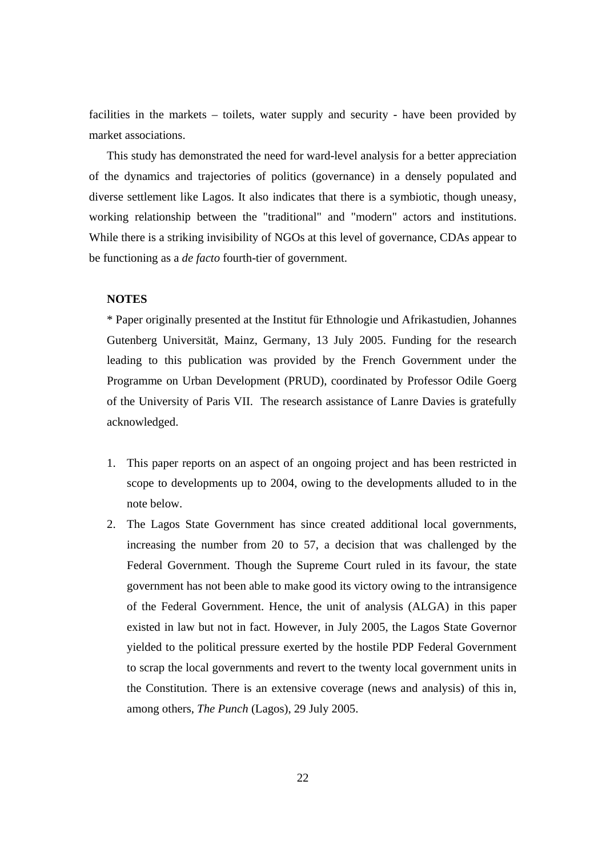facilities in the markets – toilets, water supply and security - have been provided by market associations.

This study has demonstrated the need for ward-level analysis for a better appreciation of the dynamics and trajectories of politics (governance) in a densely populated and diverse settlement like Lagos. It also indicates that there is a symbiotic, though uneasy, working relationship between the "traditional" and "modern" actors and institutions. While there is a striking invisibility of NGOs at this level of governance, CDAs appear to be functioning as a *de facto* fourth-tier of government.

# **NOTES**

\* Paper originally presented at the Institut für Ethnologie und Afrikastudien, Johannes Gutenberg Universität, Mainz, Germany, 13 July 2005. Funding for the research leading to this publication was provided by the French Government under the Programme on Urban Development (PRUD), coordinated by Professor Odile Goerg of the University of Paris VII. The research assistance of Lanre Davies is gratefully acknowledged.

- 1. This paper reports on an aspect of an ongoing project and has been restricted in scope to developments up to 2004, owing to the developments alluded to in the note below.
- 2. The Lagos State Government has since created additional local governments, increasing the number from 20 to 57, a decision that was challenged by the Federal Government. Though the Supreme Court ruled in its favour, the state government has not been able to make good its victory owing to the intransigence of the Federal Government. Hence, the unit of analysis (ALGA) in this paper existed in law but not in fact. However, in July 2005, the Lagos State Governor yielded to the political pressure exerted by the hostile PDP Federal Government to scrap the local governments and revert to the twenty local government units in the Constitution. There is an extensive coverage (news and analysis) of this in, among others, *The Punch* (Lagos), 29 July 2005.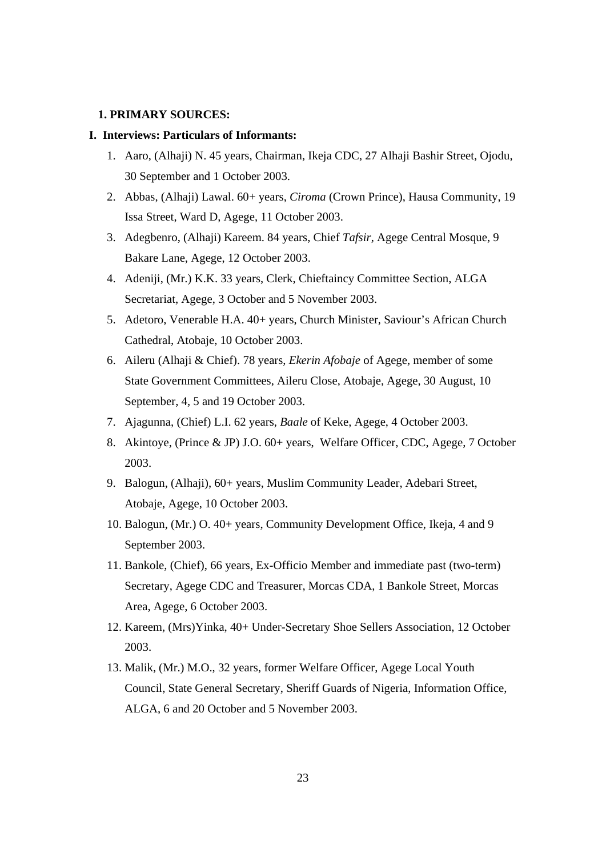# **1. PRIMARY SOURCES:**

# **I. Interviews: Particulars of Informants:**

- 1. Aaro, (Alhaji) N. 45 years, Chairman, Ikeja CDC, 27 Alhaji Bashir Street, Ojodu, 30 September and 1 October 2003.
- 2. Abbas, (Alhaji) Lawal. 60+ years, *Ciroma* (Crown Prince), Hausa Community, 19 Issa Street, Ward D, Agege, 11 October 2003.
- 3. Adegbenro, (Alhaji) Kareem. 84 years, Chief *Tafsir*, Agege Central Mosque, 9 Bakare Lane, Agege, 12 October 2003.
- 4. Adeniji, (Mr.) K.K. 33 years, Clerk, Chieftaincy Committee Section, ALGA Secretariat, Agege, 3 October and 5 November 2003.
- 5. Adetoro, Venerable H.A. 40+ years, Church Minister, Saviour's African Church Cathedral, Atobaje, 10 October 2003.
- 6. Aileru (Alhaji & Chief). 78 years, *Ekerin Afobaje* of Agege, member of some State Government Committees, Aileru Close, Atobaje, Agege, 30 August, 10 September, 4, 5 and 19 October 2003.
- 7. Ajagunna, (Chief) L.I. 62 years, *Baale* of Keke, Agege, 4 October 2003.
- 8. Akintoye, (Prince & JP) J.O. 60+ years, Welfare Officer, CDC, Agege, 7 October 2003.
- 9. Balogun, (Alhaji), 60+ years, Muslim Community Leader, Adebari Street, Atobaje, Agege, 10 October 2003.
- 10. Balogun, (Mr.) O. 40+ years, Community Development Office, Ikeja, 4 and 9 September 2003.
- 11. Bankole, (Chief), 66 years, Ex-Officio Member and immediate past (two-term) Secretary, Agege CDC and Treasurer, Morcas CDA, 1 Bankole Street, Morcas Area, Agege, 6 October 2003.
- 12. Kareem, (Mrs)Yinka, 40+ Under-Secretary Shoe Sellers Association, 12 October 2003.
- 13. Malik, (Mr.) M.O., 32 years, former Welfare Officer, Agege Local Youth Council, State General Secretary, Sheriff Guards of Nigeria, Information Office, ALGA, 6 and 20 October and 5 November 2003.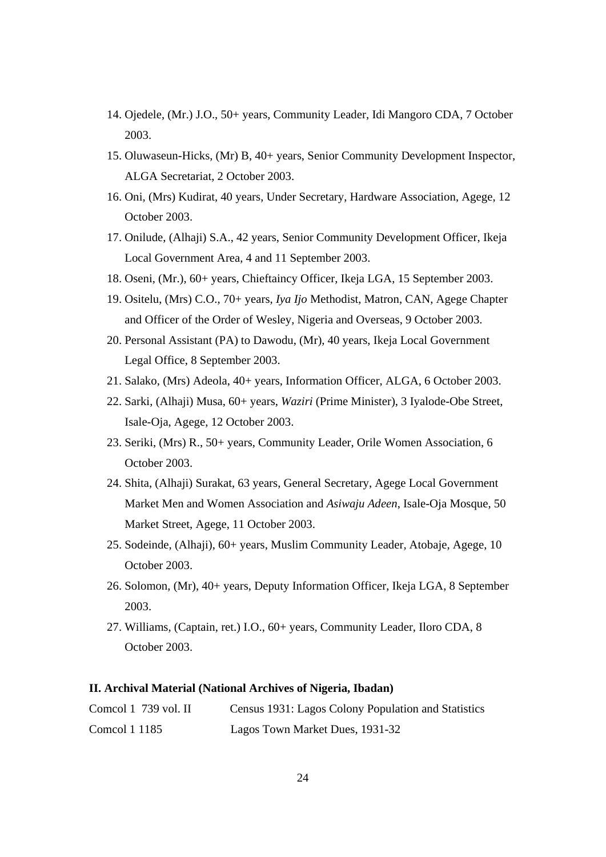- 14. Ojedele, (Mr.) J.O., 50+ years, Community Leader, Idi Mangoro CDA, 7 October 2003.
- 15. Oluwaseun-Hicks, (Mr) B, 40+ years, Senior Community Development Inspector, ALGA Secretariat, 2 October 2003.
- 16. Oni, (Mrs) Kudirat, 40 years, Under Secretary, Hardware Association, Agege, 12 October 2003.
- 17. Onilude, (Alhaji) S.A., 42 years, Senior Community Development Officer, Ikeja Local Government Area, 4 and 11 September 2003.
- 18. Oseni, (Mr.), 60+ years, Chieftaincy Officer, Ikeja LGA, 15 September 2003.
- 19. Ositelu, (Mrs) C.O., 70+ years, *Iya Ijo* Methodist, Matron, CAN, Agege Chapter and Officer of the Order of Wesley, Nigeria and Overseas, 9 October 2003.
- 20. Personal Assistant (PA) to Dawodu, (Mr), 40 years, Ikeja Local Government Legal Office, 8 September 2003.
- 21. Salako, (Mrs) Adeola, 40+ years, Information Officer, ALGA, 6 October 2003.
- 22. Sarki, (Alhaji) Musa, 60+ years, *Waziri* (Prime Minister), 3 Iyalode-Obe Street, Isale-Oja, Agege, 12 October 2003.
- 23. Seriki, (Mrs) R., 50+ years, Community Leader, Orile Women Association, 6 October 2003.
- 24. Shita, (Alhaji) Surakat, 63 years, General Secretary, Agege Local Government Market Men and Women Association and *Asiwaju Adeen*, Isale-Oja Mosque, 50 Market Street, Agege, 11 October 2003.
- 25. Sodeinde, (Alhaji), 60+ years, Muslim Community Leader, Atobaje, Agege, 10 October 2003.
- 26. Solomon, (Mr), 40+ years, Deputy Information Officer, Ikeja LGA, 8 September 2003.
- 27. Williams, (Captain, ret.) I.O., 60+ years, Community Leader, Iloro CDA, 8 October 2003.

# **II. Archival Material (National Archives of Nigeria, Ibadan)**

| Comcol $1\,739$ vol. II | Census 1931: Lagos Colony Population and Statistics |
|-------------------------|-----------------------------------------------------|
| Comcol 1 1185           | Lagos Town Market Dues, 1931-32                     |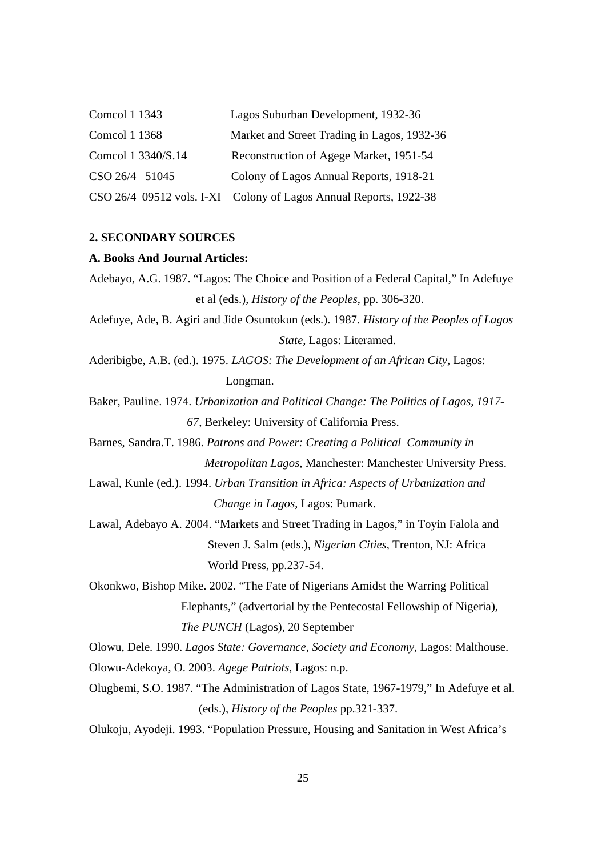| Comcol 1 1343      | Lagos Suburban Development, 1932-36                               |
|--------------------|-------------------------------------------------------------------|
| Comcol 1 1368      | Market and Street Trading in Lagos, 1932-36                       |
| Comcol 1 3340/S.14 | Reconstruction of Agege Market, 1951-54                           |
| CSO 26/4 51045     | Colony of Lagos Annual Reports, 1918-21                           |
|                    | CSO 26/4 09512 vols. I-XI Colony of Lagos Annual Reports, 1922-38 |

# **2. SECONDARY SOURCES**

### **A. Books And Journal Articles:**

- Adebayo, A.G. 1987. "Lagos: The Choice and Position of a Federal Capital," In Adefuye et al (eds.), *History of the Peoples*, pp. 306-320.
- Adefuye, Ade, B. Agiri and Jide Osuntokun (eds.). 1987. *History of the Peoples of Lagos State*, Lagos: Literamed.
- Aderibigbe, A.B. (ed.). 1975. *LAGOS: The Development of an African City*, Lagos: Longman.
- Baker, Pauline. 1974. *Urbanization and Political Change: The Politics of Lagos, 1917- 67*, Berkeley: University of California Press.
- Barnes, Sandra.T. 1986. *Patrons and Power: Creating a Political Community in Metropolitan Lagos*, Manchester: Manchester University Press.
- Lawal, Kunle (ed.). 1994. *Urban Transition in Africa: Aspects of Urbanization and Change in Lagos*, Lagos: Pumark.
- Lawal, Adebayo A. 2004. "Markets and Street Trading in Lagos," in Toyin Falola and Steven J. Salm (eds.), *Nigerian Cities*, Trenton, NJ: Africa World Press, pp.237-54.
- Okonkwo, Bishop Mike. 2002. "The Fate of Nigerians Amidst the Warring Political Elephants," (advertorial by the Pentecostal Fellowship of Nigeria), *The PUNCH* (Lagos), 20 September

Olowu, Dele. 1990. *Lagos State: Governance, Society and Economy*, Lagos: Malthouse.

- Olowu-Adekoya, O. 2003. *Agege Patriots*, Lagos: n.p.
- Olugbemi, S.O. 1987. "The Administration of Lagos State, 1967-1979," In Adefuye et al. (eds.), *History of the Peoples* pp.321-337.
- Olukoju, Ayodeji. 1993. "Population Pressure, Housing and Sanitation in West Africa's